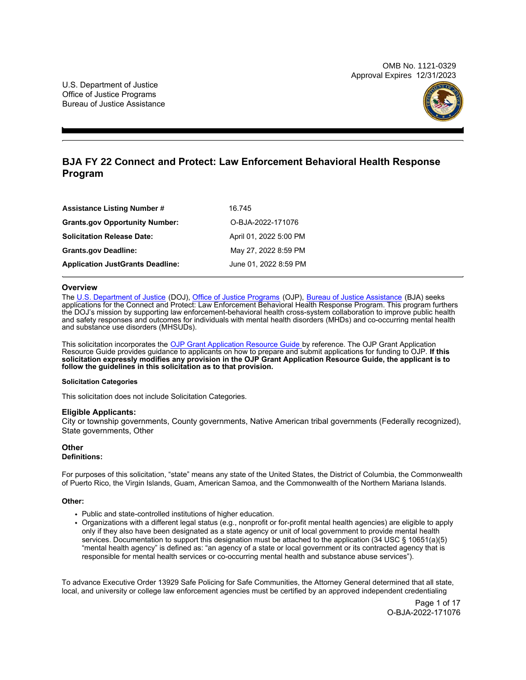OMB No. 1121-0329 Approval Expires 12/31/2023



## **BJA FY 22 Connect and Protect: Law Enforcement Behavioral Health Response Program**

| <b>Assistance Listing Number #</b>      | 16.745                 |
|-----------------------------------------|------------------------|
| <b>Grants.gov Opportunity Number:</b>   | O-BJA-2022-171076      |
| <b>Solicitation Release Date:</b>       | April 01, 2022 5:00 PM |
| <b>Grants.gov Deadline:</b>             | May 27, 2022 8:59 PM   |
| <b>Application JustGrants Deadline:</b> | June 01, 2022 8:59 PM  |

## **Overview**

The [U.S. Department of Justice](https://www.usdoj.gov/) (DOJ), [Office of Justice Programs](https://www.ojp.usdoj.gov/) (OJP), [Bureau of Justice Assistance](https://bja.ojp.gov/) (BJA) seeks applications for the Connect and Protect: Law Enforcement Behavioral Health Response Program. This program furthers the DOJ's mission by supporting law enforcement-behavioral health cross-system collaboration to improve public health and safety responses and outcomes for individuals with mental health disorders (MHDs) and co-occurring mental health and substance use disorders (MHSUDs).

This solicitation incorporates the <u>OJP Grant Application Resource Guide b</u>y reference. The OJP Grant Application Resource Guide provides guidance to applicants on how to prepare and submit applications for funding to OJP. **If this**  solicitation expressly modifies any provision in the OJP Grant Application Resource Guide, the applicant is to **follow the guidelines in this solicitation as to that provision.** 

## **Solicitation Categories**

This solicitation does not include Solicitation Categories.

## **Eligible Applicants:**

City or township governments, County governments, Native American tribal governments (Federally recognized), State governments, Other

## **Other**

## **Definitions:**

For purposes of this solicitation, "state" means any state of the United States, the District of Columbia, the Commonwealth of Puerto Rico, the Virgin Islands, Guam, American Samoa, and the Commonwealth of the Northern Mariana Islands.

## **Other:**

- Public and state-controlled institutions of higher education.
- Organizations with a different legal status (e.g., nonprofit or for-profit mental health agencies) are eligible to apply only if they also have been designated as a state agency or unit of local government to provide mental health services. Documentation to support this designation must be attached to the application (34 USC § 10651(a)(5) "mental health agency" is defined as: "an agency of a state or local government or its contracted agency that is responsible for mental health services or co-occurring mental health and substance abuse services").

To advance Executive Order 13929 Safe Policing for Safe Communities, the Attorney General determined that all state, local, and university or college law enforcement agencies must be certified by an approved independent credentialing

> Page 1 of 17 O-BJA-2022-171076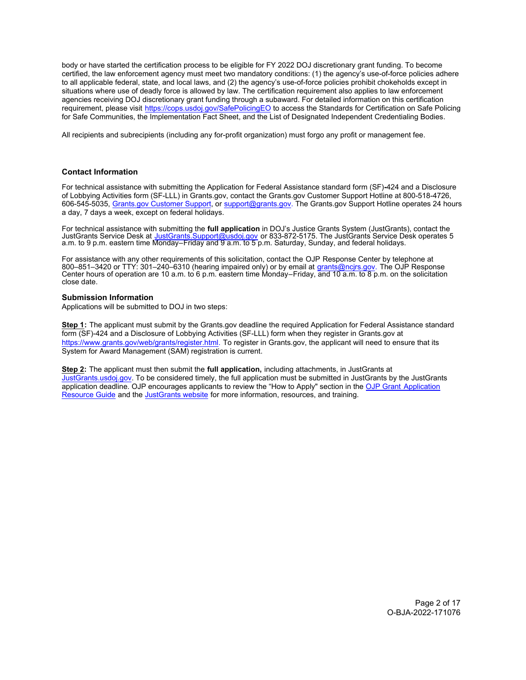<span id="page-1-0"></span>body or have started the certification process to be eligible for FY 2022 DOJ discretionary grant funding. To become certified, the law enforcement agency must meet two mandatory conditions: (1) the agency's use-of-force policies adhere to all applicable federal, state, and local laws, and (2) the agency's use-of-force policies prohibit chokeholds except in situations where use of deadly force is allowed by law. The certification requirement also applies to law enforcement agencies receiving DOJ discretionary grant funding through a subaward. For detailed information on this certification requirement, please visit <https://cops.usdoj.gov/SafePolicingEO> to access the Standards for Certification on Safe Policing for Safe Communities, the Implementation Fact Sheet, and the List of Designated Independent Credentialing Bodies.

All recipients and subrecipients (including any for-profit organization) must forgo any profit or management fee.

## **Contact Information**

For technical assistance with submitting the Application for Federal Assistance standard form (SF)**-**424 and a Disclosure of Lobbying Activities form (SF-LLL) in [Grants.gov,](https://Grants.gov) contact the [Grants.gov](https://Grants.gov) Customer Support Hotline at 800-518-4726, 606-545-5035, Grants.gov [Customer Support](https://www.grants.gov/web/grants/support.html), or support@grants.gov. The [Grants.gov](https://Grants.gov) Support Hotline operates 24 hours a day, 7 days a week, except on federal holidays.

For technical assistance with submitting the **full application** in DOJ's Justice Grants System (JustGrants), contact the JustGrants Service Desk at <u>JustGrants.Support@usdoj.gov</u> or 833-872-5175. The JustGrants Service Desk operates 5 a.m. to 9 p.m. eastern time Monday–Friday and 9 a.m. to 5 p.m. Saturday, Sunday, and federal holidays.

For assistance with any other requirements of this solicitation, contact the OJP Response Center by telephone at 800–851–3420 or TTY: 301–240–6310 (hearing impaired only) or by email at <u>grants@ncjrs.gov</u>. The OJP Response Center hours of operation are 10 a.m. to 6 p.m. eastern time Monday–Friday, and 10 a.m. to 8 p.m. on the solicitation close date.

## **Submission Information**

Applications will be submitted to DOJ in two steps:

**Step 1:** The applicant must submit by the [Grants.gov](https://Grants.gov) deadline the required Application for Federal Assistance standard form (SF)-424 and a Disclosure of Lobbying Activities (SF-LLL) form when they register in [Grants.gov](https://Grants.gov) at https://www.grants.gov/web/grants/register.html. To register in [Grants.gov,](https://Grants.gov) the applicant will need to ensure that its System for Award Management (SAM) registration is current.

**Step 2:** The applicant must then submit the **full application,** including attachments, in JustGrants at [JustGrants.usdoj.gov](https://justicegrants.usdoj.gov/). To be considered timely, the full application must be submitted in JustGrants by the JustGrants application deadline. OJP encourages applicants to review the "How to Apply" section in the OJP Grant Application [Resource Guide](https://www.ojp.gov/funding/apply/ojp-grant-application-resource-guide#apply) and the [JustGrants website](https://justicegrants.usdoj.gov/news) for more information, resources, and training.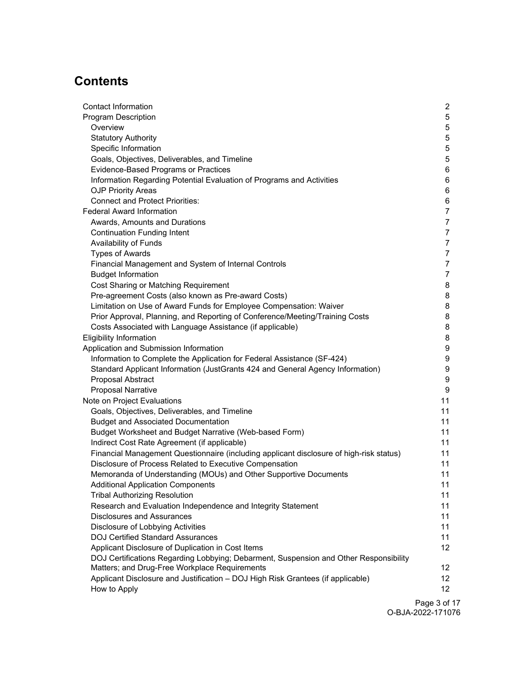# **Contents**

| <b>Contact Information</b>                                                              | $\overline{2}$   |
|-----------------------------------------------------------------------------------------|------------------|
| <b>Program Description</b>                                                              | 5                |
| Overview                                                                                | 5                |
| <b>Statutory Authority</b>                                                              | 5                |
| Specific Information                                                                    | 5                |
| Goals, Objectives, Deliverables, and Timeline                                           | 5                |
| Evidence-Based Programs or Practices                                                    | 6                |
| Information Regarding Potential Evaluation of Programs and Activities                   | 6                |
| <b>OJP Priority Areas</b>                                                               | 6                |
| <b>Connect and Protect Priorities:</b>                                                  | 6                |
| <b>Federal Award Information</b>                                                        | $\overline{7}$   |
| Awards, Amounts and Durations                                                           | $\overline{7}$   |
| <b>Continuation Funding Intent</b>                                                      | $\overline{7}$   |
| Availability of Funds                                                                   | $\overline{7}$   |
| <b>Types of Awards</b>                                                                  | $\overline{7}$   |
| Financial Management and System of Internal Controls                                    | $\overline{7}$   |
| <b>Budget Information</b>                                                               | $\overline{7}$   |
| Cost Sharing or Matching Requirement                                                    | 8                |
| Pre-agreement Costs (also known as Pre-award Costs)                                     | 8                |
| Limitation on Use of Award Funds for Employee Compensation: Waiver                      | 8                |
| Prior Approval, Planning, and Reporting of Conference/Meeting/Training Costs            | 8                |
| Costs Associated with Language Assistance (if applicable)                               | 8                |
| <b>Eligibility Information</b>                                                          | 8                |
| Application and Submission Information                                                  | 9                |
| Information to Complete the Application for Federal Assistance (SF-424)                 | 9                |
| Standard Applicant Information (JustGrants 424 and General Agency Information)          | 9                |
| Proposal Abstract                                                                       | $\boldsymbol{9}$ |
| <b>Proposal Narrative</b>                                                               | $\boldsymbol{9}$ |
| Note on Project Evaluations                                                             | 11               |
| Goals, Objectives, Deliverables, and Timeline                                           | 11               |
| <b>Budget and Associated Documentation</b>                                              | 11               |
| Budget Worksheet and Budget Narrative (Web-based Form)                                  | 11               |
| Indirect Cost Rate Agreement (if applicable)                                            | 11               |
| Financial Management Questionnaire (including applicant disclosure of high-risk status) | 11               |
| Disclosure of Process Related to Executive Compensation                                 | 11               |
| Memoranda of Understanding (MOUs) and Other Supportive Documents                        | 11               |
| <b>Additional Application Components</b>                                                | 11               |
| <b>Tribal Authorizing Resolution</b>                                                    | 11               |
| Research and Evaluation Independence and Integrity Statement                            | 11               |
| <b>Disclosures and Assurances</b>                                                       | 11               |
| Disclosure of Lobbying Activities                                                       | 11               |
| <b>DOJ Certified Standard Assurances</b>                                                | 11               |
| Applicant Disclosure of Duplication in Cost Items                                       | 12 <sup>°</sup>  |
| DOJ Certifications Regarding Lobbying; Debarment, Suspension and Other Responsibility   |                  |
| Matters; and Drug-Free Workplace Requirements                                           | 12 <sup>°</sup>  |
| Applicant Disclosure and Justification - DOJ High Risk Grantees (if applicable)         | 12 <sup>°</sup>  |
| How to Apply                                                                            | 12 <sup>2</sup>  |
|                                                                                         |                  |

Page 3 of 17 O-BJA-2022-171076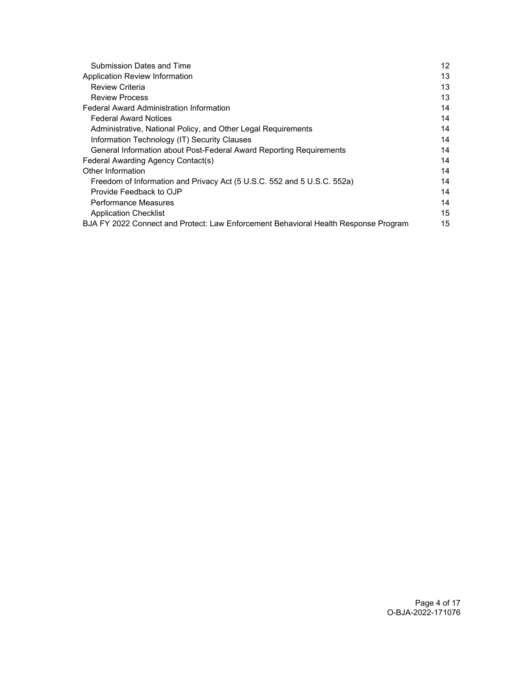| <b>Submission Dates and Time</b>                                                    | 12 |
|-------------------------------------------------------------------------------------|----|
| Application Review Information                                                      | 13 |
| <b>Review Criteria</b>                                                              | 13 |
| <b>Review Process</b>                                                               | 13 |
| <b>Federal Award Administration Information</b>                                     | 14 |
| <b>Federal Award Notices</b>                                                        | 14 |
| Administrative, National Policy, and Other Legal Requirements                       | 14 |
| Information Technology (IT) Security Clauses                                        | 14 |
| General Information about Post-Federal Award Reporting Requirements                 | 14 |
| Federal Awarding Agency Contact(s)                                                  | 14 |
| Other Information                                                                   | 14 |
| Freedom of Information and Privacy Act (5 U.S.C. 552 and 5 U.S.C. 552a)             | 14 |
| Provide Feedback to OJP                                                             | 14 |
| Performance Measures                                                                | 14 |
| <b>Application Checklist</b>                                                        | 15 |
| BJA FY 2022 Connect and Protect: Law Enforcement Behavioral Health Response Program | 15 |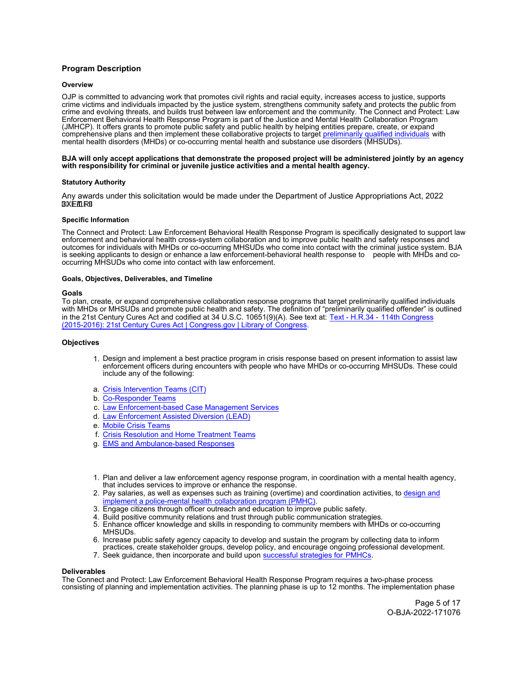## <span id="page-4-0"></span>**Program Description**

## **Overview**

OJP is committed to advancing work that promotes civil rights and racial equity, increases access to justice, supports crime victims and individuals impacted by the justice system, strengthens community safety and protects the public from crime and evolving threats, and builds trust between law enforcement and the community. The Connect and Protect: Law Enforcement Behavioral Health Response Program is part of the Justice and Mental Health Collaboration Program (JMHCP). It offers grants to promote public safety and public health by helping entities prepare, create, or expand comprehensive plans and then implement these collaborative projects to target [preliminarily qualified individuals](https://www.congress.gov/bill/114th-congress/house-bill/34/text) with mental health disorders (MHDs) or co-occurring mental health and substance use disorders (MHSUDs).

#### **BJA will only accept applications that demonstrate the proposed project will be administered jointly by an agency with responsibility for criminal or juvenile justice activities and a mental health agency.**

## **Statutory Authority**

Any awards under this solicitation would be made under the Department of Justice Appropriations Act, 2022  $3XE / 1R$ 

#### **Specific Information**

The Connect and Protect: Law Enforcement Behavioral Health Response Program is specifically designated to support law enforcement and behavioral health cross-system collaboration and to improve public health and safety responses and outcomes for individuals with MHDs or co-occurring MHSUDs who come into contact with the criminal justice system. BJA is seeking applicants to design or enhance a law enforcement-behavioral health response to people with MHDs and cooccurring MHSUDs who come into contact with law enforcement.

## **Goals, Objectives, Deliverables, and Timeline**

#### **Goals**

To plan, create, or expand comprehensive collaboration response programs that target preliminarily qualified individuals with MHDs or MHSUDs and promote public health and safety. The definition of "preliminarily qualified offender" is outlined in the 21st Century Cures Act and codified at 34 U.S.C. 10651(9)(A). See text at: Text - H.R.34 - [114th Congress](https://www.congress.gov/bill/114th-congress/house-bill/34/text)  [\(2015-2016\): 21st Century Cures Act | Congress.gov | Library of Congress.](https://www.congress.gov/bill/114th-congress/house-bill/34/text)

#### **Objectives**

- 1. Design and implement a best practice program in crisis response based on present information to assist law enforcement officers during encounters with people who have MHDs or co-occurring MHSUDs. These could include any of the following:
- a. [Crisis Intervention Teams \(CIT\)](https://78ff2097-07ba-4f47-a7fc-65d0ff6db1b7.filesusr.com/ugd/313296_14ca1e6710bb4d6daa88bacb127da069.pdf)
- b. [Co-Responder Teams](https://78ff2097-07ba-4f47-a7fc-65d0ff6db1b7.filesusr.com/ugd/313296_4a364b2093ed4fb9be28dd6dd977816b.pdf)
- c. [Law Enforcement-based Case Management Services](https://78ff2097-07ba-4f47-a7fc-65d0ff6db1b7.filesusr.com/ugd/313296_1f6fa5d6933b4feea1bd8ce378e999b1.pdf)
- d. [Law Enforcement Assisted Diversion \(LEAD\)](https://78ff2097-07ba-4f47-a7fc-65d0ff6db1b7.filesusr.com/ugd/313296_3fe253651ac5403bb85d85550a9149fc.pdf)
- e. [Mobile Crisis Teams](https://78ff2097-07ba-4f47-a7fc-65d0ff6db1b7.filesusr.com/ugd/313296_8d01cdc7187a489893197f2d07300ee6.pdf)
- f. [Crisis Resolution and Home Treatment Teams](https://78ff2097-07ba-4f47-a7fc-65d0ff6db1b7.filesusr.com/ugd/313296_1434f645fdcc4306a32521455dcaa580.pdf)
- g. [EMS and Ambulance-based Responses](https://78ff2097-07ba-4f47-a7fc-65d0ff6db1b7.filesusr.com/ugd/313296_6b9bf4a2e40846d8ac5cf7335527f7f0.pdf)
- 1. Plan and deliver a law enforcement agency response program, in coordination with a mental health agency, that includes services to improve or enhance the response.
- 2. Pay salaries, as well as expenses such as training (overtime) and coordination activities, to [design and](https://bja.ojp.gov/program/pmhc) [implement a police-mental health collaboration program \(PMHC\).](https://bja.ojp.gov/program/pmhc)
- 3. Engage citizens through officer outreach and education to improve public safety.
- 4. Build positive community relations and trust through public communication strategies.
- 5. Enhance officer knowledge and skills in responding to community members with MHDs or co-occurring MHSUDs.
- 6. Increase public safety agency capacity to develop and sustain the program by collecting data to inform practices, create stakeholder groups, develop policy, and encourage ongoing professional development.
- 7. Seek guidance, then incorporate and build upon [successful strategies for PMHCs](https://csgjusticecenter.org/publications/justice-and-mental-health-collaboration-program-overview/).

#### **Deliverables**

The Connect and Protect: Law Enforcement Behavioral Health Response Program requires a two-phase process consisting of planning and implementation activities. The planning phase is up to 12 months. The implementation phase

> Page 5 of 17 O-BJA-2022-171076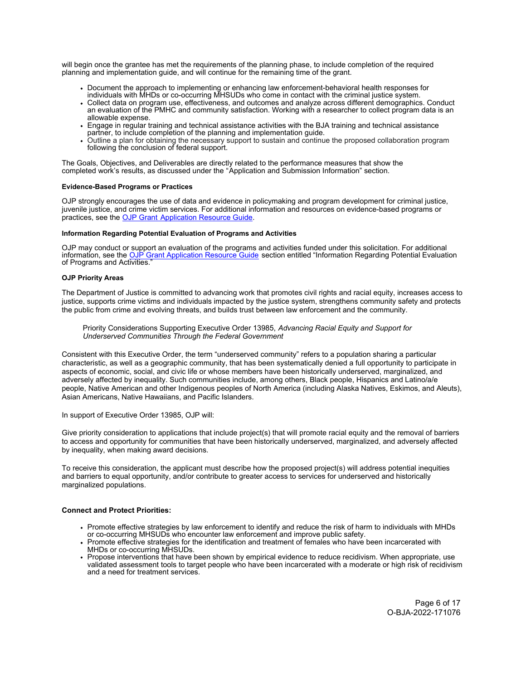<span id="page-5-0"></span>will begin once the grantee has met the requirements of the planning phase, to include completion of the required planning and implementation guide, and will continue for the remaining time of the grant.

- Document the approach to implementing or enhancing law enforcement-behavioral health responses for individuals with MHDs or co-occurring MHSUDs who come in contact with the criminal justice system.
- Collect data on program use, effectiveness, and outcomes and analyze across different demographics. Conduct an evaluation of the PMHC and community satisfaction. Working with a researcher to collect program data is an allowable expense.
- Engage in regular training and technical assistance activities with the BJA training and technical assistance partner, to include completion of the planning and implementation guide.
- Outline a plan for obtaining the necessary support to sustain and continue the proposed collaboration program following the conclusion of federal support.

The Goals, Objectives, and Deliverables are directly related to the performance measures that show the completed work's results, as discussed under the "Application and Submission Information" section.

## **Evidence-Based Programs or Practices**

OJP strongly encourages the use of data and evidence in policymaking and program development for criminal justice, juvenile justice, and crime victim services. For additional information and resources on evidence-based programs or practices, see the [OJP Grant Application Resource Guide.](https://www.ojp.gov/funding/apply/ojp-grant-application-resource-guide#evidence-based)

## **Information Regarding Potential Evaluation of Programs and Activities**

OJP may conduct or support an evaluation of the programs and activities funded under this solicitation. For additional information, see the <u>OJP Grant Application Resource Guide</u> section entitled "Information Regarding Potential Evaluation of Programs and Activities."

## **OJP Priority Areas**

The Department of Justice is committed to advancing work that promotes civil rights and racial equity, increases access to justice, supports crime victims and individuals impacted by the justice system, strengthens community safety and protects the public from crime and evolving threats, and builds trust between law enforcement and the community.

Priority Considerations Supporting Executive Order 13985, *Advancing Racial Equity and Support for Underserved Communities Through the Federal Government*

Consistent with this Executive Order, the term "underserved community" refers to a population sharing a particular characteristic, as well as a geographic community, that has been systematically denied a full opportunity to participate in aspects of economic, social, and civic life or whose members have been historically underserved, marginalized, and adversely affected by inequality. Such communities include, among others, Black people, Hispanics and Latino/a/e people, Native American and other Indigenous peoples of North America (including Alaska Natives, Eskimos, and Aleuts), Asian Americans, Native Hawaiians, and Pacific Islanders.

In support of Executive Order 13985, OJP will:

Give priority consideration to applications that include project(s) that will promote racial equity and the removal of barriers to access and opportunity for communities that have been historically underserved, marginalized, and adversely affected by inequality, when making award decisions.

To receive this consideration, the applicant must describe how the proposed project(s) will address potential inequities and barriers to equal opportunity, and/or contribute to greater access to services for underserved and historically marginalized populations.

## **Connect and Protect Priorities:**

- Promote effective strategies by law enforcement to identify and reduce the risk of harm to individuals with MHDs or co-occurring MHSUDs who encounter law enforcement and improve public safety.
- Promote effective strategies for the identification and treatment of females who have been incarcerated with MHDs or co-occurring MHSUDs.
- Propose interventions that have been shown by empirical evidence to reduce recidivism. When appropriate, use validated assessment tools to target people who have been incarcerated with a moderate or high risk of recidivism and a need for treatment services.

Page 6 of 17 O-BJA-2022-171076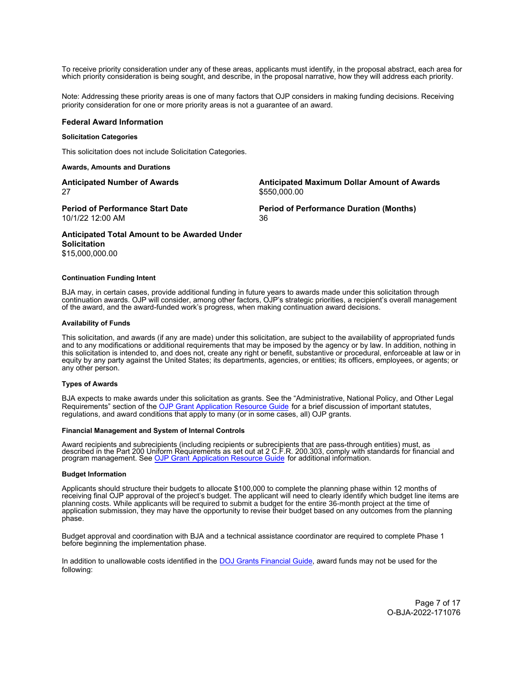<span id="page-6-0"></span>To receive priority consideration under any of these areas, applicants must identify, in the proposal abstract, each area for which priority consideration is being sought, and describe, in the proposal narrative, how they will address each priority.

Note: Addressing these priority areas is one of many factors that OJP considers in making funding decisions. Receiving priority consideration for one or more priority areas is not a guarantee of an award.

#### **Federal Award Information**

## **Solicitation Categories**

This solicitation does not include Solicitation Categories.

#### **Awards, Amounts and Durations**

| <b>Anticipated Number of Awards</b>          | Anticipated Maximum Dollar Amount of Awards    |
|----------------------------------------------|------------------------------------------------|
| 27                                           | \$550,000.00                                   |
| <b>Period of Performance Start Date</b>      | <b>Period of Performance Duration (Months)</b> |
| 10/1/22 12:00 AM                             | 36                                             |
| Apticipated Total Amount to be Awarded Under |                                                |

## **Anticipated Total Amount to be Awarded Under Solicitation**  \$15,000,000.00

## **Continuation Funding Intent**

BJA may, in certain cases, provide additional funding in future years to awards made under this solicitation through continuation awards. OJP will consider, among other factors, OJP's strategic priorities, a recipient's overall management of the award, and the award-funded work's progress, when making continuation award decisions.

#### **Availability of Funds**

This solicitation, and awards (if any are made) under this solicitation, are subject to the availability of appropriated funds and to any modifications or additional requirements that may be imposed by the agency or by law. In addition, nothing in this solicitation is intended to, and does not, create any right or benefit, substantive or procedural, enforceable at law or in equity by any party against the United States; its departments, agencies, or entities; its officers, employees, or agents; or any other person.

#### **Types of Awards**

BJA expects to make awards under this solicitation as grants. See the "Administrative, National Policy, and Other Legal Requirements" section of the [OJP Grant Application Resource Guide](https://www.ojp.gov/funding/apply/ojp-grant-application-resource-guide#administrative) for a brief discussion of important statutes, regulations, and award conditions that apply to many (or in some cases, all) OJP grants.

#### **Financial Management and System of Internal Controls**

Award recipients and subrecipients (including recipients or subrecipients that are pass-through entities) must, as described in the Part 200 Uniform Requirements as set out at 2 C.F.R. 200.303, comply with standards for financial and program management. See [OJP Grant Application Resource Guide](https://www.ojp.gov/funding/apply/ojp-grant-application-resource-guide#fm-internal-controls) for additional information.

#### **Budget Information**

Applicants should structure their budgets to allocate \$100,000 to complete the planning phase within 12 months of receiving final OJP approval of the project's budget. The applicant will need to clearly identify which budget line items are planning costs. While applicants will be required to submit a budget for the entire 36-month project at the time of application submission, they may have the opportunity to revise their budget based on any outcomes from the planning phase.

Budget approval and coordination with BJA and a technical assistance coordinator are required to complete Phase 1 before beginning the implementation phase.

In addition to unallowable costs identified in the [DOJ Grants Financial Guide,](https://www.ojp.gov/funding/financialguidedoj/iii-postaward-requirements#4iydzm) award funds may not be used for the following:

> Page 7 of 17 O-BJA-2022-171076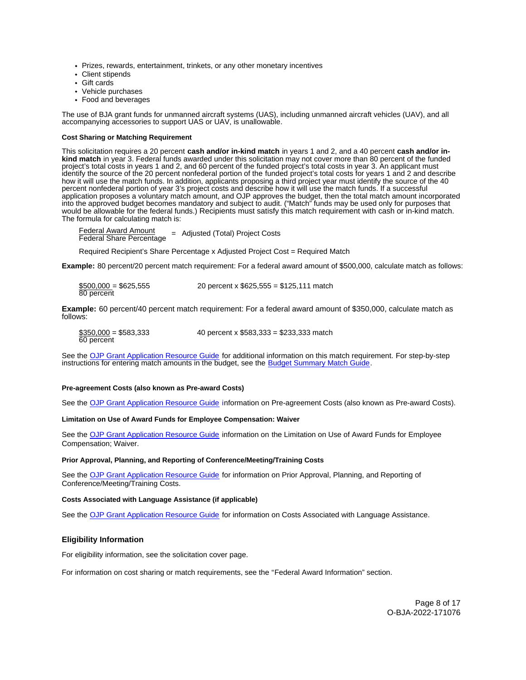- <span id="page-7-0"></span>• Prizes, rewards, entertainment, trinkets, or any other monetary incentives
- Client stipends
- Gift cards
- Vehicle purchases
- Food and beverages

The use of BJA grant funds for unmanned aircraft systems (UAS), including unmanned aircraft vehicles (UAV), and all accompanying accessories to support UAS or UAV, is unallowable.

#### **Cost Sharing or Matching Requirement**

This solicitation requires a 20 percent **cash and/or in-kind match** in years 1 and 2, and a 40 percent **cash and/or inkind match** in year 3. Federal funds awarded under this solicitation may not cover more than 80 percent of the funded project's total costs in years 1 and 2, and 60 percent of the funded project's total costs in year 3. An applicant must identify the source of the 20 percent nonfederal portion of the funded project's total costs for years 1 and 2 and describe how it will use the match funds. In addition, applicants proposing a third project year must identify the source of the 40 percent nonfederal portion of year 3's project costs and describe how it will use the match funds. If a successful application proposes a voluntary match amount, and OJP approves the budget, then the total match amount incorporated into the approved budget becomes mandatory and subject to audit. ("Match" funds may be used only for purposes that would be allowable for the federal funds.) Recipients must satisfy this match requirement with cash or in-kind match. The formula for calculating match is:

 $\frac{1}{2}$  Federal Share Percentage = Adjusted (Total) Project Costs

Required Recipient's Share Percentage x Adjusted Project Cost = Required Match

**Example:** 80 percent/20 percent match requirement: For a federal award amount of \$500,000, calculate match as follows:

| $$500,000 = $625,555$ | 20 percent x $$625,555 = $125,111$ match |
|-----------------------|------------------------------------------|
| 80 percent            |                                          |

**Example:** 60 percent/40 percent match requirement: For a federal award amount of \$350,000, calculate match as follows:

| $$350,000 = $583,333$ | 40 percent x $$583,333 = $233,333$ match |
|-----------------------|------------------------------------------|
| 60 percent            |                                          |

See the [OJP Grant Application Resource Guide](https://www.ojp.gov/funding/apply/ojp-grant-application-resource-guide#cost-sharing) for additional information on this match requirement. For step-by-step instructions for entering match amounts in the budget, see the [Budget Summary Match Guide.](https://justicegrants.usdoj.gov/sites/g/files/xyckuh296/files/media/document/budget-summary-match-guide.pdf)

## **Pre-agreement Costs (also known as Pre-award Costs)**

See the [OJP Grant Application Resource Guide](https://www.ojp.gov/funding/apply/ojp-grant-application-resource-guide#pre-agreement-costs) information on Pre-agreement Costs (also known as Pre-award Costs).

## **Limitation on Use of Award Funds for Employee Compensation: Waiver**

See the [OJP Grant Application Resource Guide](https://www.ojp.gov/funding/apply/ojp-grant-application-resource-guide#limitation-use-award) information on the Limitation on Use of Award Funds for Employee Compensation; Waiver.

#### **Prior Approval, Planning, and Reporting of Conference/Meeting/Training Costs**

See the [OJP Grant Application Resource Guide](https://www.ojp.gov/funding/apply/ojp-grant-application-resource-guide#prior-approval) for information on Prior Approval, Planning, and Reporting of Conference/Meeting/Training Costs.

#### **Costs Associated with Language Assistance (if applicable)**

See the [OJP Grant Application Resource Guide](https://www.ojp.gov/funding/apply/ojp-grant-application-resource-guide#costs-associated) for information on Costs Associated with Language Assistance.

## **Eligibility Information**

For eligibility information, see the solicitation cover page.

For information on cost sharing or match requirements, see the "Federal Award Information" section.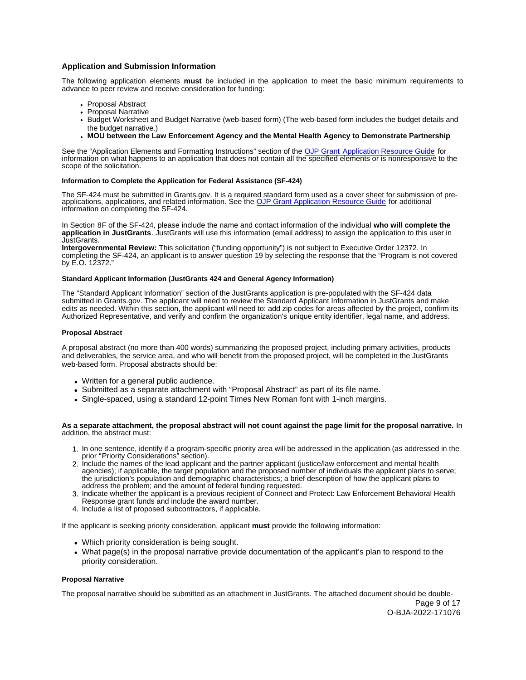## <span id="page-8-0"></span>**Application and Submission Information**

The following application elements **must** be included in the application to meet the basic minimum requirements to advance to peer review and receive consideration for funding:

- Proposal Abstract
- Proposal Narrative
- Budget Worksheet and Budget Narrative (web-based form) (The web-based form includes the budget details and the budget narrative.)
- **MOU between the Law Enforcement Agency and the Mental Health Agency to Demonstrate Partnership**

See the "Application Elements and Formatting Instructions" section of the [OJP Grant Application Resource Guide](https://www.ojp.gov/funding/apply/ojp-grant-application-resource-guide#application-elements) for information on what happens to an application that does not contain all the specified elements or is nonresponsive to the scope of the solicitation.

## **Information to Complete the Application for Federal Assistance (SF-424)**

The SF-424 must be submitted in Grants.gov. It is a required standard form used as a cover sheet for submission of preapplications, applications, and related information. See th[e OJP Grant Application Resource Guide](https://www.ojp.gov/funding/apply/ojp-grant-application-resource-guide#complete-application) for additional information on completing the SF-424.

In Section 8F of the SF-424, please include the name and contact information of the individual **who will complete the application in JustGrants**. JustGrants will use this information (email address) to assign the application to this user in JustGrants.

**Intergovernmental Review:** This solicitation ("funding opportunity") is not subject to Executive Order 12372. In completing the SF-424, an applicant is to answer question 19 by selecting the response that the "Program is not covered by E.O. 12372."

## **Standard Applicant Information (JustGrants 424 and General Agency Information)**

The "Standard Applicant Information" section of the JustGrants application is pre-populated with the SF-424 data submitted in Grants.gov. The applicant will need to review the Standard Applicant Information in JustGrants and make edits as needed. Within this section, the applicant will need to: add zip codes for areas affected by the project, confirm its Authorized Representative, and verify and confirm the organization's unique entity identifier, legal name, and address.

## **Proposal Abstract**

A proposal abstract (no more than 400 words) summarizing the proposed project, including primary activities, products and deliverables, the service area, and who will benefit from the proposed project, will be completed in the JustGrants web-based form. Proposal abstracts should be:

- Written for a general public audience.
- Submitted as a separate attachment with "Proposal Abstract" as part of its file name.
- Single-spaced, using a standard 12-point Times New Roman font with 1-inch margins.

**As a separate attachment, the proposal abstract will not count against the page limit for the proposal narrative.** In addition, the abstract must:

- 1. In one sentence, identify if a program-specific priority area will be addressed in the application (as addressed in the prior "Priority Considerations" section).
- 2. Include the names of the lead applicant and the partner applicant (justice/law enforcement and mental health agencies); if applicable, the target population and the proposed number of individuals the applicant plans to serve; the jurisdiction's population and demographic characteristics; a brief description of how the applicant plans to address the problem; and the amount of federal funding requested.
- 3. Indicate whether the applicant is a previous recipient of Connect and Protect: Law Enforcement Behavioral Health Response grant funds and include the award number.
- 4. Include a list of proposed subcontractors, if applicable.

If the applicant is seeking priority consideration, applicant **must** provide the following information:

- Which priority consideration is being sought.
- What page(s) in the proposal narrative provide documentation of the applicant's plan to respond to the priority consideration.

#### **Proposal Narrative**

The proposal narrative should be submitted as an attachment in JustGrants. The attached document should be double-

Page 9 of 17 O-BJA-2022-171076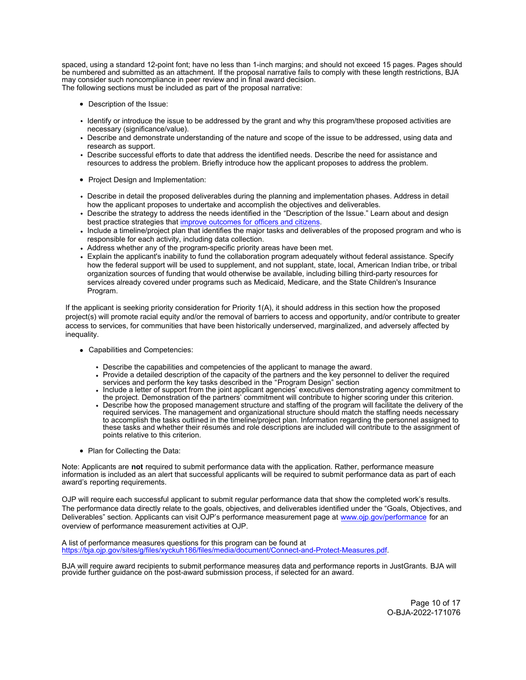<span id="page-9-0"></span>spaced, using a standard 12-point font; have no less than 1-inch margins; and should not exceed 15 pages. Pages should be numbered and submitted as an attachment*.* If the proposal narrative fails to comply with these length restrictions, BJA may consider such noncompliance in peer review and in final award decision. The following sections must be included as part of the proposal narrative:

- Description of the Issue:
- Identify or introduce the issue to be addressed by the grant and why this program/these proposed activities are necessary (significance/value).
- Describe and demonstrate understanding of the nature and scope of the issue to be addressed, using data and research as support.
- Describe successful efforts to date that address the identified needs. Describe the need for assistance and resources to address the problem. Briefly introduce how the applicant proposes to address the problem.
- Project Design and Implementation:
- Describe in detail the proposed deliverables during the planning and implementation phases. Address in detail how the applicant proposes to undertake and accomplish the objectives and deliverables.
- Describe the strategy to address the needs identified in the "Description of the Issue." Learn about and design best practice strategies that [improve outcomes for officers and citizens](https://takingthecall.csgjusticecenter.org/).
- Include a timeline/project plan that identifies the major tasks and deliverables of the proposed program and who is responsible for each activity, including data collection.
- Address whether any of the program-specific priority areas have been met.
- Explain the applicant's inability to fund the collaboration program adequately without federal assistance. Specify how the federal support will be used to supplement, and not supplant, state, local, American Indian tribe, or tribal organization sources of funding that would otherwise be available, including billing third-party resources for services already covered under programs such as Medicaid, Medicare, and the State Children's Insurance Program.

If the applicant is seeking priority consideration for Priority 1(A), it should address in this section how the proposed project(s) will promote racial equity and/or the removal of barriers to access and opportunity, and/or contribute to greater access to services, for communities that have been historically underserved, marginalized, and adversely affected by inequality.

- Capabilities and Competencies:
	- Describe the capabilities and competencies of the applicant to manage the award.
	- Provide a detailed description of the capacity of the partners and the key personnel to deliver the required services and perform the key tasks described in the "Program Design" section
	- Include a letter of support from the joint applicant agencies' executives demonstrating agency commitment to the project. Demonstration of the partners' commitment will contribute to higher scoring under this criterion.
	- Describe how the proposed management structure and staffing of the program will facilitate the delivery of the required services. The management and organizational structure should match the staffing needs necessary to accomplish the tasks outlined in the timeline/project plan. Information regarding the personnel assigned to these tasks and whether their résumés and role descriptions are included will contribute to the assignment of points relative to this criterion.
- Plan for Collecting the Data:

Note: Applicants are **not** required to submit performance data with the application. Rather, performance measure information is included as an alert that successful applicants will be required to submit performance data as part of each award's reporting requirements.

OJP will require each successful applicant to submit regular performance data that show the completed work's results. The performance data directly relate to the goals, objectives, and deliverables identified under the "Goals, Objectives, and Deliverables" section. Applicants can visit OJP's performance measurement page at [www.ojp.gov/performance](https://www.ojp.gov/performance) for an overview of performance measurement activities at OJP.

A list of performance measures questions for this program can be found at [https://bja.ojp.gov/sites/g/files/xyckuh186/files/media/document/Connect-and-Protect-Measures.pdf.](https://bja.ojp.gov/sites/g/files/xyckuh186/files/media/document/Connect-and-Protect-Measures.pdf)

BJA will require award recipients to submit performance measures data and performance reports in JustGrants. BJA will provide further guidance on the post-award submission process, if selected for an award.

Page 10 of 17 O-BJA-2022-171076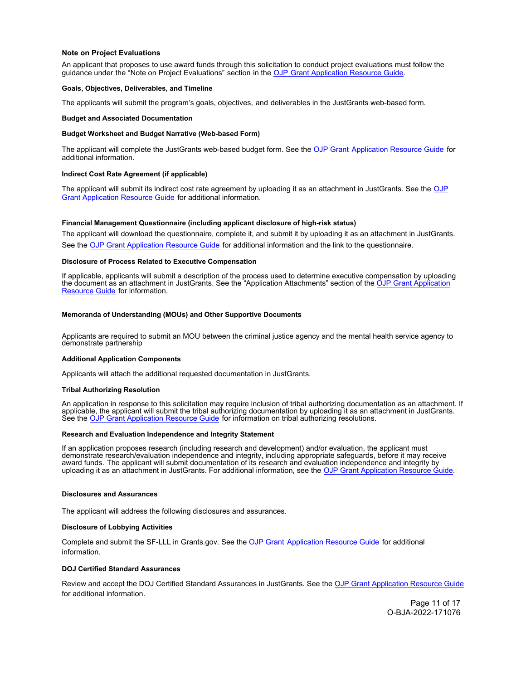## <span id="page-10-0"></span>**Note on Project Evaluations**

An applicant that proposes to use award funds through this solicitation to conduct project evaluations must follow the guidance under the "Note on Project Evaluations" section in the [OJP Grant Application Resource Guide.](https://www.ojp.gov/funding/apply/ojp-grant-application-resource-guide#project-evaluations)

#### **Goals, Objectives, Deliverables, and Timeline**

The applicants will submit the program's goals, objectives, and deliverables in the JustGrants web-based form.

#### **Budget and Associated Documentation**

#### **Budget Worksheet and Budget Narrative (Web-based Form)**

The applicant will complete the JustGrants web-based budget form. See the [OJP Grant Application Resource Guide](https://www.ojp.gov/funding/apply/ojp-grant-application-resource-guide#budget-prep) for additional information.

## **Indirect Cost Rate Agreement (if applicable)**

The applicant will submit its indirect cost rate agreement by uploading it as an attachment in JustGrants. See the OJP [Grant Application Resource Guide](https://www.ojp.gov/funding/apply/ojp-grant-application-resource-guide#budget-prep) for additional information.

## **Financial Management Questionnaire (including applicant disclosure of high-risk status)**

The applicant will download the questionnaire, complete it, and submit it by uploading it as an attachment in JustGrants. See the [OJP Grant Application Resource Guide](https://www.ojp.gov/funding/apply/ojp-grant-application-resource-guide#fm-internal-controls-questionnaire) for additional information and the link to the questionnaire.

#### **Disclosure of Process Related to Executive Compensation**

If applicable, applicants will submit a description of the process used to determine executive compensation by uploading the document as an attachment in JustGrants. See the "Application Attachments" section of the [OJP Grant Application](https://www.ojp.gov/funding/apply/ojp-grant-application-resource-guide#application-attachments)  [Resource Guide](https://www.ojp.gov/funding/apply/ojp-grant-application-resource-guide#application-attachments) for information.

## **Memoranda of Understanding (MOUs) and Other Supportive Documents**

Applicants are required to submit an MOU between the criminal justice agency and the mental health service agency to demonstrate partnership

#### **Additional Application Components**

Applicants will attach the additional requested documentation in JustGrants.

#### **Tribal Authorizing Resolution**

An application in response to this solicitation may require inclusion of tribal authorizing documentation as an attachment. If applicable, the applicant will submit the tribal authorizing documentation by uploading it as an attachment in JustGrants. See the [OJP Grant Application Resource Guide](https://www.ojp.gov/funding/apply/ojp-grant-application-resource-guide#tribal-authorizing-resolution) for information on tribal authorizing resolutions.

#### **Research and Evaluation Independence and Integrity Statement**

If an application proposes research (including research and development) and/or evaluation, the applicant must demonstrate research/evaluation independence and integrity, including appropriate safeguards, before it may receive award funds. The applicant will submit documentation of its research and evaluation independence and integrity by uploading it as an attachment in JustGrants. For additional information, see th[e OJP Grant Application Resource Guide.](https://www.ojp.gov/funding/apply/ojp-grant-application-resource-guide#research-evaluation)

#### **Disclosures and Assurances**

The applicant will address the following disclosures and assurances.

## **Disclosure of Lobbying Activities**

Complete and submit the SF-LLL in Grants.gov. See the [OJP Grant Application Resource Guide](https://www.ojp.gov/funding/apply/ojp-grant-application-resource-guide#apply) for additional information.

#### **DOJ Certified Standard Assurances**

Review and accept the DOJ Certified Standard Assurances in JustGrants. See the [OJP Grant Application Resource Guide](https://www.ojp.gov/funding/apply/ojp-grant-application-resource-guide#administrative) for additional information.

> Page 11 of 17 O-BJA-2022-171076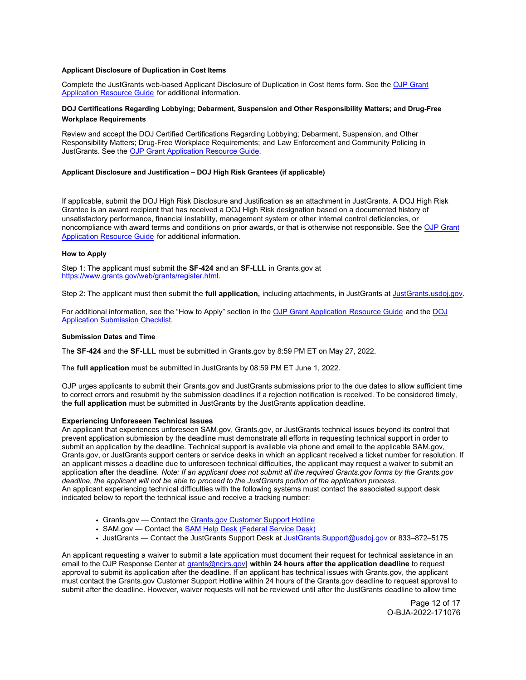## <span id="page-11-0"></span>**Applicant Disclosure of Duplication in Cost Items**

Complete the JustGrants web-based Applicant Disclosure of Duplication in Cost Items form. See the [OJP Grant](https://www.ojp.gov/funding/apply/ojp-grant-application-resource-guide#applicant-disclosure-pending-applications)  [Application Resource Guide](https://www.ojp.gov/funding/apply/ojp-grant-application-resource-guide#applicant-disclosure-pending-applications) for additional information.

## **DOJ Certifications Regarding Lobbying; Debarment, Suspension and Other Responsibility Matters; and Drug-Free Workplace Requirements**

Review and accept the DOJ Certified Certifications Regarding Lobbying; Debarment, Suspension, and Other Responsibility Matters; Drug-Free Workplace Requirements; and Law Enforcement and Community Policing in JustGrants. See the [OJP Grant Application Resource Guide.](https://www.ojp.gov/funding/apply/ojp-grant-application-resource-guide#administrative)

## **Applicant Disclosure and Justification – DOJ High Risk Grantees (if applicable)**

If applicable, submit the DOJ High Risk Disclosure and Justification as an attachment in JustGrants. A DOJ High Risk Grantee is an award recipient that has received a DOJ High Risk designation based on a documented history of unsatisfactory performance, financial instability, management system or other internal control deficiencies, or noncompliance with award terms and conditions on prior awards, or that is otherwise not responsible. See th[e OJP Grant](https://www.ojp.gov/funding/apply/ojp-grant-application-resource-guide#applicant-disclosure-justification)  [Application Resource Guide](https://www.ojp.gov/funding/apply/ojp-grant-application-resource-guide#applicant-disclosure-justification) for additional information.

## **How to Apply**

Step 1: The applicant must submit the **SF-424** and an **SF-LLL** in Grants.gov at <https://www.grants.gov/web/grants/register.html>.

Step 2: The applicant must then submit the **full application,** including attachments, in JustGrants at [JustGrants.usdoj.gov](https://justicegrants.usdoj.gov/).

For additional information, see the "How to Apply" section in th[e OJP Grant Application Resource Guide](https://www.ojp.gov/funding/apply/ojp-grant-application-resource-guide#apply) and the DOJ [Application Submission Checklist.](https://justicegrants.usdoj.gov/sites/g/files/xyckuh296/files/media/document/appln-submission-checklist.pdf)

## **Submission Dates and Time**

The **SF-424** and the **SF-LLL** must be submitted in Grants.gov by 8:59 PM ET on May 27, 2022.

The **full application** must be submitted in JustGrants by 08:59 PM ET June 1, 2022.

OJP urges applicants to submit their Grants.gov and JustGrants submissions prior to the due dates to allow sufficient time to correct errors and resubmit by the submission deadlines if a rejection notification is received. To be considered timely, the **full application** must be submitted in JustGrants by the JustGrants application deadline.

## **Experiencing Unforeseen Technical Issues**

An applicant that experiences unforeseen SAM.gov, Grants.gov, or JustGrants technical issues beyond its control that prevent application submission by the deadline must demonstrate all efforts in requesting technical support in order to submit an application by the deadline. Technical support is available via phone and email to the applicable SAM.gov, Grants.gov, or JustGrants support centers or service desks in which an applicant received a ticket number for resolution. If an applicant misses a deadline due to unforeseen technical difficulties, the applicant may request a waiver to submit an application after the deadline. *Note: If an applicant does not submit all the required Grants.gov forms by the Grants.gov deadline, the applicant will not be able to proceed to the JustGrants portion of the application process.*  An applicant experiencing technical difficulties with the following systems must contact the associated support desk indicated below to report the technical issue and receive a tracking number:

- [Grants.gov](https://Grants.gov) Contact the Grants.gov Customer Support Hotline
- SAM.gov Contact the **SAM Help Desk (Federal Service Desk)**
- JustGrants Contact the JustGrants Support Desk at [JustGrants.Support@usdoj.gov](mailto:JustGrants.Support@usdoj.gov) or 833–872–5175

An applicant requesting a waiver to submit a late application must document their request for technical assistance in an email to the OJP Response Center at [grants@ncjrs.gov\]](mailto:grants@ncjrs.gov) **within 24 hours after the application deadline** to request approval to submit its application after the deadline. If an applicant has technical issues with [Grants.gov,](https://Grants.gov) the applicant must contact the [Grants.gov](https://Grants.gov) Customer Support Hotline within 24 hours of the [Grants.gov](https://Grants.gov) deadline to request approval to submit after the deadline. However, waiver requests will not be reviewed until after the JustGrants deadline to allow time

> Page 12 of 17 O-BJA-2022-171076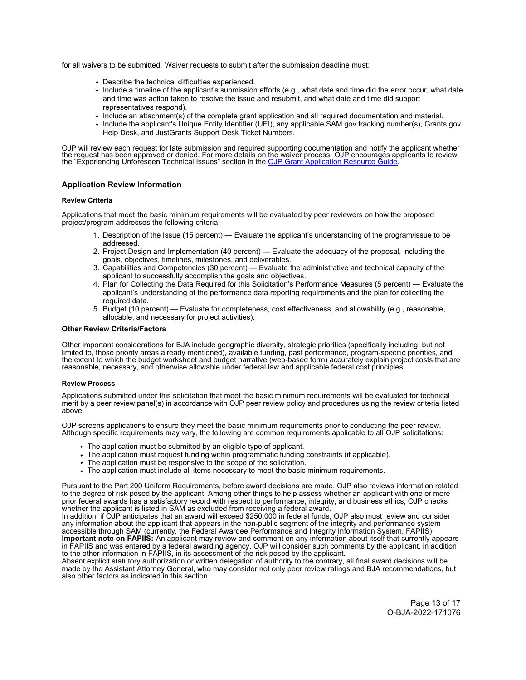<span id="page-12-0"></span>for all waivers to be submitted. Waiver requests to submit after the submission deadline must:

- Describe the technical difficulties experienced.
- Include a timeline of the applicant's submission efforts (e.g., what date and time did the error occur, what date and time was action taken to resolve the issue and resubmit, and what date and time did support representatives respond).
- Include an attachment(s) of the complete grant application and all required documentation and material.
- Include the applicant's Unique Entity Identifier (UEI), any applicable SAM.gov tracking number(s), [Grants.gov](https://Grants.gov) Help Desk, and JustGrants Support Desk Ticket Numbers.

OJP will review each request for late submission and required supporting documentation and notify the applicant whether<br>the request has been approved or denied. For more details on [the waiver process, OJP encourages ap](https://www.ojp.gov/funding/apply/ojp-grant-application-resource-guide#experiencing-unforeseen-technical-issues)plic

## **Application Review Information**

#### **Review Criteria**

Applications that meet the basic minimum requirements will be evaluated by peer reviewers on how the proposed project/program addresses the following criteria:

- 1. Description of the Issue (15 percent) Evaluate the applicant's understanding of the program/issue to be addressed.
- 2. Project Design and Implementation (40 percent) Evaluate the adequacy of the proposal, including the goals, objectives, timelines, milestones, and deliverables.
- 3. Capabilities and Competencies (30 percent) Evaluate the administrative and technical capacity of the applicant to successfully accomplish the goals and objectives.
- 4. Plan for Collecting the Data Required for this Solicitation's Performance Measures (5 percent) Evaluate the applicant's understanding of the performance data reporting requirements and the plan for collecting the required data.
- 5. Budget (10 percent) Evaluate for completeness, cost effectiveness, and allowability (e.g., reasonable, allocable, and necessary for project activities).

## **Other Review Criteria/Factors**

Other important considerations for BJA include geographic diversity, strategic priorities (specifically including, but not limited to, those priority areas already mentioned), available funding, past performance, program-specific priorities, and the extent to which the budget worksheet and budget narrative (web-based form) accurately explain project costs that are reasonable, necessary, and otherwise allowable under federal law and applicable federal cost principles.

#### **Review Process**

Applications submitted under this solicitation that meet the basic minimum requirements will be evaluated for technical merit by a peer review panel(s) in accordance with OJP peer review policy and procedures using the review criteria listed above.

OJP screens applications to ensure they meet the basic minimum requirements prior to conducting the peer review. Although specific requirements may vary, the following are common requirements applicable to all OJP solicitations:

- The application must be submitted by an eligible type of applicant.
- The application must request funding within programmatic funding constraints (if applicable).
- The application must be responsive to the scope of the solicitation.
- The application must include all items necessary to meet the basic minimum requirements.

Pursuant to the Part 200 Uniform Requirements, before award decisions are made, OJP also reviews information related to the degree of risk posed by the applicant. Among other things to help assess whether an applicant with one or more prior federal awards has a satisfactory record with respect to performance, integrity, and business ethics, OJP checks whether the applicant is listed in SAM as excluded from receiving a federal award.

In addition, if OJP anticipates that an award will exceed \$250,000 in federal funds, OJP also must review and consider any information about the applicant that appears in the non-public segment of the integrity and performance system accessible through SAM (currently, the Federal Awardee Performance and Integrity Information System, FAPIIS). **Important note on FAPIIS:** An applicant may review and comment on any information about itself that currently appears in FAPIIS and was entered by a federal awarding agency. OJP will consider such comments by the applicant, in addition to the other information in FAPIIS, in its assessment of the risk posed by the applicant.

Absent explicit statutory authorization or written delegation of authority to the contrary, all final award decisions will be made by the Assistant Attorney General, who may consider not only peer review ratings and BJA recommendations, but also other factors as indicated in this section.

> Page 13 of 17 O-BJA-2022-171076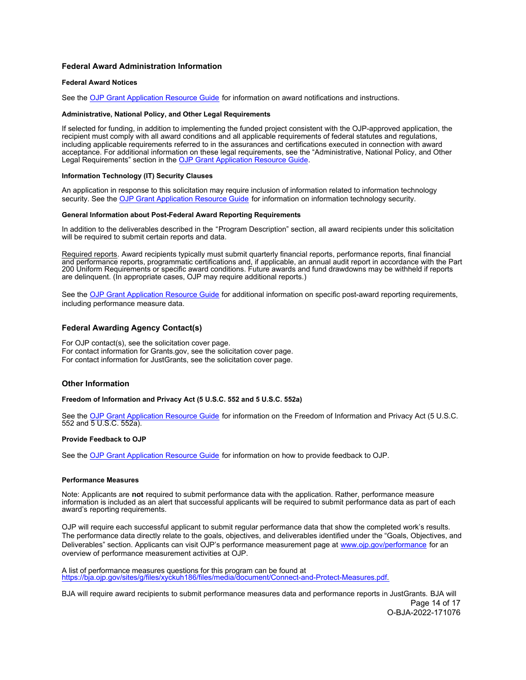## <span id="page-13-0"></span>**Federal Award Administration Information**

#### **Federal Award Notices**

See the [OJP Grant Application Resource Guide](https://www.ojp.gov/funding/apply/ojp-grant-application-resource-guide#federal-award-notices) for information on award notifications and instructions.

## **Administrative, National Policy, and Other Legal Requirements**

If selected for funding, in addition to implementing the funded project consistent with the OJP-approved application, the recipient must comply with all award conditions and all applicable requirements of federal statutes and regulations, including applicable requirements referred to in the assurances and certifications executed in connection with award acceptance. For additional information on these legal requirements, see the "Administrative, National Policy, and Other Legal Requirements" section in the [OJP Grant Application Resource Guide.](https://www.ojp.gov/funding/apply/ojp-grant-application-resource-guide#administrative)

#### **Information Technology (IT) Security Clauses**

An application in response to this solicitation may require inclusion of information related to information technology security. See the [OJP Grant Application Resource Guide](https://www.ojp.gov/funding/apply/ojp-grant-application-resource-guide#information-technology) for information on information technology security.

#### **General Information about Post-Federal Award Reporting Requirements**

In addition to the deliverables described in the "Program Description" section, all award recipients under this solicitation will be required to submit certain reports and data.

Required reports. Award recipients typically must submit quarterly financial reports, performance reports, final financial and performance reports, programmatic certifications and, if applicable, an annual audit report in accordance with the Part 200 Uniform Requirements or specific award conditions. Future awards and fund drawdowns may be withheld if reports are delinquent. (In appropriate cases, OJP may require additional reports.)

See the [OJP Grant Application Resource Guide](https://www.ojp.gov/funding/apply/ojp-grant-application-resource-guide#general-information) for additional information on specific post-award reporting requirements, including performance measure data.

## **Federal Awarding Agency Contact(s)**

For OJP contact(s), see the solicitation cover page. For contact information for [Grants.gov,](https://Grants.gov) see the solicitation cover page. For contact information for JustGrants, see the solicitation cover page.

#### **Other Information**

#### **Freedom of Information and Privacy Act (5 U.S.C. 552 and 5 U.S.C. 552a)**

See the [OJP Grant Application Resource Guide](https://www.ojp.gov/funding/apply/ojp-grant-application-resource-guide#foia) for information on the Freedom of Information and Privacy Act (5 U.S.C. 552 and 5 U.S.C. 552a).

#### **Provide Feedback to OJP**

See the [OJP Grant Application Resource Guide](https://www.ojp.gov/funding/apply/ojp-grant-application-resource-guide#feedback) for information on how to provide feedback to OJP.

## **Performance Measures**

Note: Applicants are **not** required to submit performance data with the application. Rather, performance measure information is included as an alert that successful applicants will be required to submit performance data as part of each award's reporting requirements.

OJP will require each successful applicant to submit regular performance data that show the completed work's results. The performance data directly relate to the goals, objectives, and deliverables identified under the "Goals, Objectives, and Deliverables" section. Applicants can visit OJP's performance measurement page at [www.ojp.gov/performance](https://www.ojp.gov/performance) for an overview of performance measurement activities at OJP.

A list of performance measures questions for this program can be found at https://bja.ojp.gov/sites/g/files/xyckuh186/files/media/document/Connect-and-Protect-Measures.pdf.

BJA will require award recipients to submit performance measures data and performance reports in JustGrants. BJA will Page 14 of 17 O-BJA-2022-171076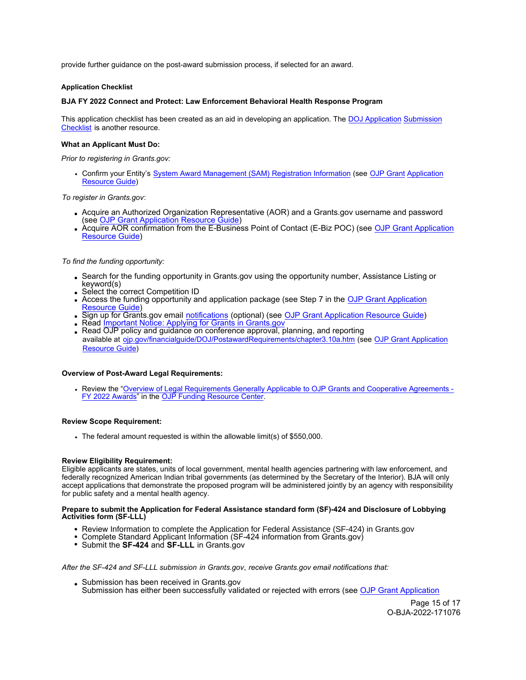<span id="page-14-0"></span>provide further guidance on the post-award submission process, if selected for an award.

## **Application Checklist**

## **BJA FY 2022 Connect and Protect: Law Enforcement Behavioral Health Response Program**

This application checklist has been created as an aid in developing an application. The [DOJ Application](https://justicegrants.usdoj.gov/sites/g/files/xyckuh296/files/media/document/appln-submission-checklist.pdf) Submission [Checklist](https://justicegrants.usdoj.gov/sites/g/files/xyckuh296/files/media/document/appln-submission-checklist.pdf) is another resource.

## **What an Applicant Must Do:**

*Prior to registering in Grants.gov:*

• Confirm your Entity's [System Award Management \(SAM\) Registration Information](https://sam.gov/content/home) (see OJP Grant Application [Resource Guide](https://www.ojp.gov/funding/apply/ojp-grant-application-resource-guide#apply))

*To register in [Grants.gov](https://Grants.gov)*:

- Acquire an Authorized Organization Representative (AOR) and a [Grants.gov](https://Grants.gov) username and password (see [OJP Grant Application Resource Guide\)](https://www.ojp.gov/funding/apply/ojp-grant-application-resource-guide#apply)
- Acquire AOR confirmation from the E-Business Point of Contact (E-Biz POC) (see OJP Grant Application [Resource Guide\)](https://www.ojp.gov/funding/apply/ojp-grant-application-resource-guide#apply)

## *To find the funding opportunity:*

- Search for the funding opportunity in [Grants.gov](https://Grants.gov) using the opportunity number, Assistance Listing or keyword(s)
- Select the correct Competition ID
- Access the funding opportunity and application package (see Step 7 in th[e OJP Grant Application](https://www.ojp.gov/funding/apply/ojp-grant-application-resource-guide#apply)  <u>lesource Guide</u>)
- Sign up for [Grants.gov](https://Grants.gov) email <u>[notifications](https://www.grants.gov/web/grants/manage-subscriptions.html)</u> (optional) (see <u>OJP Grant Application Resource Guide</u>)
- Read [Important Notice: Applying for Grants in Grants.gov](https://ojp.gov/funding/Apply/Grants-govInfo.htm)
- Read OJP policy and guidance on conference approval, planning, and reporting available at [ojp.gov/financialguide/DOJ/PostawardRequirements/chapter3.10a.htm](https://ojp.gov/financialguide/DOJ/PostawardRequirements/chapter3.10a.htm) (see [OJP Grant Application](https://www.ojp.gov/funding/apply/ojp-grant-application-resource-guide#prior-approval)  [Resource Guide\)](https://www.ojp.gov/funding/apply/ojp-grant-application-resource-guide#prior-approval)

## **Overview of Post-Award Legal Requirements:**

Review the ["Overview of Legal Requirements Generally Applicable to OJP Grants and Cooperative Agreements -](https://www.ojp.gov/funding/explore/legal-overview-awards) [FY 2022 Awards"](https://www.ojp.gov/funding/explore/legal-overview-awards) in the [OJP Funding Resource Center.](https://www.ojp.gov/funding/explore/legal-overview-awards)

## **Review Scope Requirement:**

The federal amount requested is within the allowable limit(s) of \$550,000.

## **Review Eligibility Requirement:**

Eligible applicants are states, units of local government, mental health agencies partnering with law enforcement, and federally recognized American Indian tribal governments (as determined by the Secretary of the Interior). BJA will only accept applications that demonstrate the proposed program will be administered jointly by an agency with responsibility for public safety and a mental health agency.

## **Prepare to submit the Application for Federal Assistance standard form (SF)-424 and Disclosure of Lobbying Activities form (SF-LLL)**

- Review Information to complete the Application for Federal Assistance (SF-424) in [Grants.gov](https://Grants.gov)
- Complete Standard Applicant Information (SF-424 information from [Grants.gov](https://Grants.gov))
- Submit the **SF-424** and **SF-LLL** in [Grants.gov](https://Grants.gov)

*After the SF-424 and SF-LLL submission in [Grants.gov](https://Grants.gov)*, *receive [Grants.gov](https://Grants.gov) email notifications that:* 

Submission has been received in [Grants.gov](https://Grants.gov) Submission has either been successfully validated or rejected with errors (see [OJP Grant Application](https://www.ojp.gov/funding/apply/ojp-grant-application-resource-guide#apply) 

> Page 15 of 17 O-BJA-2022-171076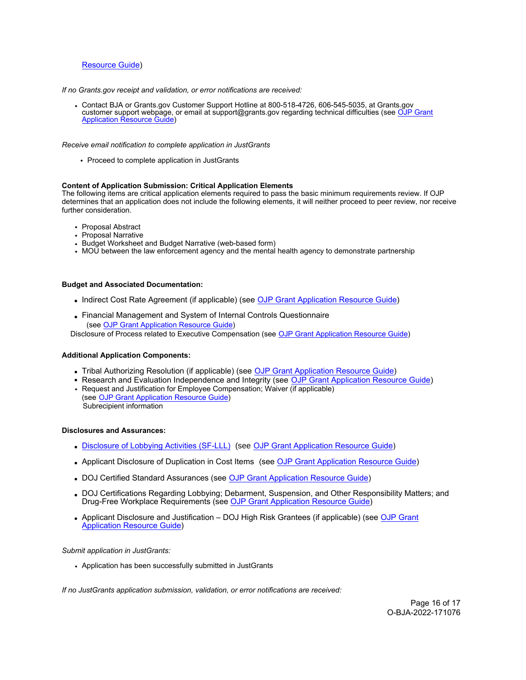## [Resource Guide\)](https://www.ojp.gov/funding/apply/ojp-grant-application-resource-guide#apply)

*If no [Grants.gov](https://Grants.gov) receipt and validation, or error notifications are received:* 

Contact BJA or [Grants.gov](https://Grants.gov) Customer Support Hotline at 800-518-4726, 606-545-5035, at Grants.gov [customer support webpage, or email at support@grants.gov regarding technical difficulties \(see OJP Grant](https://www.ojp.gov/funding/apply/ojp-grant-application-resource-guide#apply) Application [Resource Guide\)](https://www.ojp.gov/funding/apply/ojp-grant-application-resource-guide#apply)

*Receive email notification to complete application in JustGrants* 

• Proceed to complete application in JustGrants

## **Content of Application Submission: Critical Application Elements**

The following items are critical application elements required to pass the basic minimum requirements review. If OJP determines that an application does not include the following elements, it will neither proceed to peer review, nor receive further consideration.

- Proposal Abstract
- Proposal Narrative
- Budget Worksheet and Budget Narrative (web-based form)
- MOU between the law enforcement agency and the mental health agency to demonstrate partnership

## **Budget and Associated Documentation:**

- Indirect Cost Rate Agreement (if applicable) (see [OJP Grant Application Resource Guide\)](https://www.ojp.gov/funding/apply/ojp-grant-application-resource-guide#indirect-cost)
- Financial Management and System of Internal Controls Questionnaire (se[e OJP Grant Application Resource Guide\)](https://www.ojp.gov/funding/apply/ojp-grant-application-resource-guide#fm-internal-controls-questionnaire)

Disclosure of Process related to Executive Compensation (se[e OJP Grant Application Resource Guide\)](https://www.ojp.gov/funding/apply/ojp-grant-application-resource-guide#disclosure-process-executive)

## **Additional Application Components:**

- Tribal Authorizing Resolution (if applicable) (see OJP Grant Application Resource Guide)
- Research and Evaluation Independence and Integrity (see [OJP Grant Application Resource Guide\)](https://www.ojp.gov/funding/apply/ojp-grant-application-resource-guide#research-evaluation)
- Request and Justification for Employee Compensation; Waiver (if applicable) (see [OJP Grant Application Resource Guide\)](https://www.ojp.gov/funding/apply/ojp-grant-application-resource-guide#limitation-use-award)  Subrecipient information

## **Disclosures and Assurances:**

- [Disclosure of Lobbying Activities \(SF-LLL\)](https://ojp.gov/funding/Apply/Resources/Disclosure.pdf) (see [OJP Grant Application Resource Guide\)](https://www.ojp.gov/funding/apply/ojp-grant-application-resource-guide#disclosure-lobby)
- Applicant Disclosure of Duplication in Cost Items (see [OJP Grant Application Resource Guide\)](https://www.ojp.gov/funding/apply/ojp-grant-application-resource-guide#applicant-disclosure-pending-applications)
- DOJ Certified Standard Assurances (see [OJP Grant Application Resource Guide\)](https://www.ojp.gov/funding/apply/ojp-grant-application-resource-guide#administrative)
- DOJ Certifications Regarding Lobbying; Debarment, Suspension, and Other Responsibility Matters; and Drug-Free Workplace Requirements (see OJP Grant Application Resource Guide)
- Applicant Disclosure and Justification DOJ High Risk Grantees (if applicable) (see OJP Grant [Application Resource Guide\)](https://www.ojp.gov/funding/apply/ojp-grant-application-resource-guide#applicant-disclosure-justification)

#### *Submit application in JustGrants:*

Application has been successfully submitted in JustGrants

*If no JustGrants application submission, validation, or error notifications are received:*